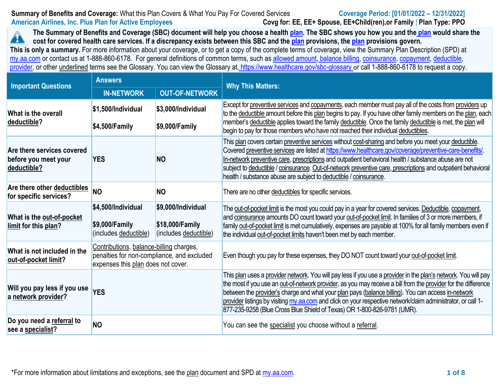# **Summary of Benefits and Coverage:** What this Plan Covers & What You Pay For Covered Services **Coverage Period: [01/01/2022 – 12/31/2022] American Airlines, Inc. Plus Plan for Active Employees Covg for: EE, EE+ Spouse, EE+Child(ren),or Family** | **Plan Type: PPO**

**The Summary of Benefits and Coverage (SBC) document will help you choose a health [plan.](https://my.aa.com/plan-guides/) The SBC shows you how you and the [plan](https://my.aa.com/plan-guides/) would share the**  44 **cost for covered health care services. If a discrepancy exists between this SBC and th[e plan](https://my.aa.com/plan-guides/) provisions, the [plan](https://my.aa.com/plan-guides/) provisions govern. This is only a summary.** For more information about your coverage, or to get a copy of the complete terms of coverage, view the Summary Plan Description (SPD) at [my.aa.com](https://my.aa.com/) or contact us at 1-888-860-6178. For general definitions of common terms, such as [allowed amount,](https://www.healthcare.gov/glossary/allowed-amount/) [balance billing,](https://www.healthcare.gov/glossary/balance-billing/) [coinsurance,](https://www.healthcare.gov/glossary/co-insurance/) [copayment,](https://www.healthcare.gov/glossary/co-payment/) [deductible,](https://www.healthcare.gov/glossary/deductible/) [provider,](https://www.healthcare.gov/glossary/preferred-provider/) or other underlined terms see the Glossary. You can view the Glossary at, <https://www.healthcare.gov/sbc-glossary> or call 1-888-860-6178 to request a copy.

| <b>Important Questions</b>                                        | <b>Answers</b>                                                                                                              |                                                                | <b>Why This Matters:</b>                                                                                                                                                                                                                                                                                                                                                                                                                                                                                                          |  |
|-------------------------------------------------------------------|-----------------------------------------------------------------------------------------------------------------------------|----------------------------------------------------------------|-----------------------------------------------------------------------------------------------------------------------------------------------------------------------------------------------------------------------------------------------------------------------------------------------------------------------------------------------------------------------------------------------------------------------------------------------------------------------------------------------------------------------------------|--|
|                                                                   | <b>IN-NETWORK</b>                                                                                                           | <b>OUT-OF-NETWORK</b>                                          |                                                                                                                                                                                                                                                                                                                                                                                                                                                                                                                                   |  |
| What is the overall<br>deductible?                                | \$1,500/Individual                                                                                                          | $$3,000$ /Individual                                           | Except for preventive services and copayments, each member must pay all of the costs from providers up<br>to the deductible amount before this plan begins to pay. If you have other family members on the plan, each<br>member's deductible applies toward the family deductible. Once the family deductible is met, the plan will                                                                                                                                                                                               |  |
|                                                                   | \$4,500/Family                                                                                                              | $$9,000$ /Family                                               | begin to pay for those members who have not reached their individual deductibles.                                                                                                                                                                                                                                                                                                                                                                                                                                                 |  |
| Are there services covered<br>before you meet your<br>deductible? | <b>YES</b>                                                                                                                  | <b>NO</b>                                                      | This plan covers certain preventive services without cost-sharing and before you meet your deductible.<br>Covered preventive services are listed at https://www.healthcare.gov/coverage/preventive-care-benefits/.<br>In-network preventive care, prescriptions and outpatient behavioral health / substance abuse are not<br>subject to deductible / coinsurance. Out-of-network preventive care, prescriptions and outpatient behavioral<br>health / substance abuse are subject to deductible / coinsurance.                   |  |
| Are there other deductibles<br>for specific services?             | <b>NO</b>                                                                                                                   | <b>NO</b>                                                      | There are no other deductibles for specific services.                                                                                                                                                                                                                                                                                                                                                                                                                                                                             |  |
| What is the out-of-pocket<br>limit for this plan?                 | \$4,500/Individual<br>\$9,000/Family<br>(includes deductible)                                                               | \$9,000/Individual<br>\$18,000/Family<br>(includes deductible) | The out-of-pocket limit is the most you could pay in a year for covered services. Deductible, copayment,<br>and coinsurance amounts DO count toward your out-of-pocket limit. In families of 3 or more members, if<br>family out-of-pocket limit is met cumulatively, expenses are payable at 100% for all family members even if<br>the individual out-of-pocket limits haven't been met by each member.                                                                                                                         |  |
| What is not included in the<br>out-of-pocket limit?               | Contributions, balance-billing charges,<br>penalties for non-compliance, and excluded<br>expenses this plan does not cover. |                                                                | Even though you pay for these expenses, they DO NOT count toward your out-of-pocket limit.                                                                                                                                                                                                                                                                                                                                                                                                                                        |  |
| Will you pay less if you use<br>a network provider?               | <b>YES</b>                                                                                                                  |                                                                | This plan uses a provider network. You will pay less if you use a provider in the plan's network. You will pay<br>the most if you use an out-of-network provider, as you may receive a bill from the provider for the difference<br>between the provider's charge and what your plan pays (balance billing). You can access in-network<br>provider listings by visiting my aa com and click on your respective network/claim administrator, or call 1-<br>877-235-9258 (Blue Cross Blue Shield of Texas) OR 1-800-826-9781 (UMR). |  |
| Do you need a referral to<br>see a specialist?                    | <b>NO</b>                                                                                                                   |                                                                | You can see the specialist you choose without a referral.                                                                                                                                                                                                                                                                                                                                                                                                                                                                         |  |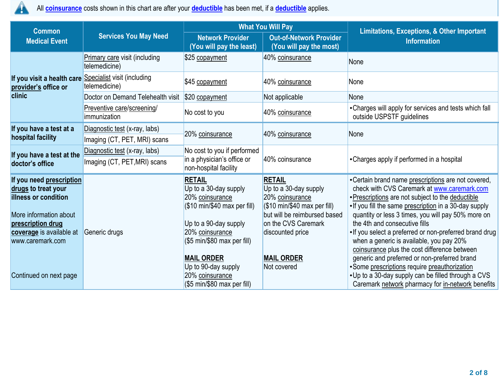

All **[coinsurance](https://www.healthcare.gov/glossary/co-insurance/)** costs shown in this chart are after your **[deductible](https://www.healthcare.gov/glossary/deductible/)** has been met, if a **[deductible](https://www.healthcare.gov/glossary/deductible/)** applies.

| <b>Common</b>                                                                                                                                                                                           |                                                       | <b>What You Will Pay</b>                                                                                                                                                                                                           |                                                                                                                                                                                                         | <b>Limitations, Exceptions, &amp; Other Important</b>                                                                                                                                                                                                                                                                                                                                                                                                                                                                                                                                                                   |  |
|---------------------------------------------------------------------------------------------------------------------------------------------------------------------------------------------------------|-------------------------------------------------------|------------------------------------------------------------------------------------------------------------------------------------------------------------------------------------------------------------------------------------|---------------------------------------------------------------------------------------------------------------------------------------------------------------------------------------------------------|-------------------------------------------------------------------------------------------------------------------------------------------------------------------------------------------------------------------------------------------------------------------------------------------------------------------------------------------------------------------------------------------------------------------------------------------------------------------------------------------------------------------------------------------------------------------------------------------------------------------------|--|
| <b>Medical Event</b>                                                                                                                                                                                    | <b>Services You May Need</b>                          | <b>Network Provider</b><br>(You will pay the least)                                                                                                                                                                                | <b>Out-of-Network Provider</b><br>(You will pay the most)                                                                                                                                               | <b>Information</b>                                                                                                                                                                                                                                                                                                                                                                                                                                                                                                                                                                                                      |  |
|                                                                                                                                                                                                         | <b>Primary care visit (including</b><br>telemedicine) | \$25 copayment                                                                                                                                                                                                                     | 40% coinsurance                                                                                                                                                                                         | None                                                                                                                                                                                                                                                                                                                                                                                                                                                                                                                                                                                                                    |  |
| If you visit a health care<br>provider's office or                                                                                                                                                      | Specialist visit (including<br>telemedicine)          | \$45 copayment                                                                                                                                                                                                                     | 40% coinsurance                                                                                                                                                                                         | None                                                                                                                                                                                                                                                                                                                                                                                                                                                                                                                                                                                                                    |  |
| clinic                                                                                                                                                                                                  | Doctor on Demand Telehealth visit                     | \$20 copayment                                                                                                                                                                                                                     | Not applicable                                                                                                                                                                                          | None                                                                                                                                                                                                                                                                                                                                                                                                                                                                                                                                                                                                                    |  |
|                                                                                                                                                                                                         | Preventive care/screening/<br>immunization            | No cost to you                                                                                                                                                                                                                     | 40% coinsurance                                                                                                                                                                                         | • Charges will apply for services and tests which fall<br>outside USPSTF guidelines                                                                                                                                                                                                                                                                                                                                                                                                                                                                                                                                     |  |
| If you have a test at a                                                                                                                                                                                 | Diagnostic test (x-ray, labs)                         |                                                                                                                                                                                                                                    |                                                                                                                                                                                                         |                                                                                                                                                                                                                                                                                                                                                                                                                                                                                                                                                                                                                         |  |
| hospital facility                                                                                                                                                                                       | Imaging (CT, PET, MRI) scans                          | 20% coinsurance                                                                                                                                                                                                                    | 40% coinsurance                                                                                                                                                                                         | None                                                                                                                                                                                                                                                                                                                                                                                                                                                                                                                                                                                                                    |  |
| If you have a test at the                                                                                                                                                                               | Diagnostic test (x-ray, labs)                         | No cost to you if performed                                                                                                                                                                                                        |                                                                                                                                                                                                         |                                                                                                                                                                                                                                                                                                                                                                                                                                                                                                                                                                                                                         |  |
| doctor's office                                                                                                                                                                                         | Imaging (CT, PET, MRI) scans                          | in a physician's office or<br>non-hospital facility                                                                                                                                                                                | 40% coinsurance                                                                                                                                                                                         | • Charges apply if performed in a hospital                                                                                                                                                                                                                                                                                                                                                                                                                                                                                                                                                                              |  |
| If you need prescription<br>drugs to treat your<br><b>illness or condition</b><br>More information about<br>prescription drug<br>coverage is available at<br>www.caremark.com<br>Continued on next page | Generic drugs                                         | <b>RETAIL</b><br>Up to a 30-day supply<br>20% coinsurance<br>(\$10 min/\$40 max per fill)<br>Up to a 90-day supply<br>20% coinsurance<br>(\$5 min\$80 max per fill)<br><b>MAIL ORDER</b><br>Up to 90-day supply<br>20% coinsurance | <b>RETAIL</b><br>Up to a 30-day supply<br>20% coinsurance<br>(\$10 min\$40 max per fill)<br>but will be reimbursed based<br>on the CVS Caremark<br>discounted price<br><b>MAIL ORDER</b><br>Not covered | • Certain brand name prescriptions are not covered,<br>check with CVS Caremark at www.caremark.com<br>. Prescriptions are not subject to the deductible<br>. If you fill the same prescription in a 30-day supply<br>quantity or less 3 times, you will pay 50% more on<br>the 4th and consecutive fills<br>. If you select a preferred or non-preferred brand drug<br>when a generic is available, you pay 20%<br>coinsurance plus the cost difference between<br>generic and preferred or non-preferred brand<br>• Some prescriptions require preauthorization<br>• Up to a 30-day supply can be filled through a CVS |  |
|                                                                                                                                                                                                         |                                                       | (\$5 min/\$80 max per fill)                                                                                                                                                                                                        |                                                                                                                                                                                                         | Caremark network pharmacy for in-network benefits                                                                                                                                                                                                                                                                                                                                                                                                                                                                                                                                                                       |  |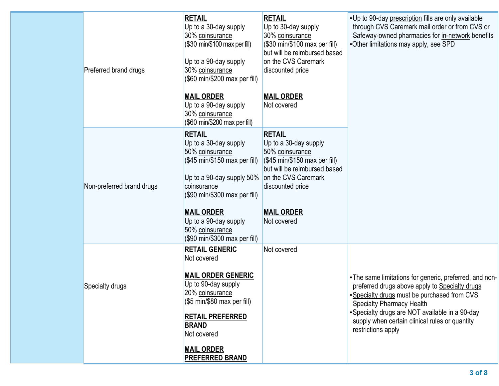| Preferred brand drugs     | <b>RETAIL</b><br>Up to a 30-day supply<br>30% coinsurance<br>(\$30 min/\$100 max per fill)<br>Up to a 90-day supply<br>30% coinsurance<br>(\$60 min/\$200 max per fill)                                                                  | <b>RETAIL</b><br>Up to 30-day supply<br>30% coinsurance<br>(\$30 min/\$100 max per fill)<br>but will be reimbursed based<br>on the CVS Caremark<br>discounted price                                          | . Up to 90-day prescription fills are only available<br>through CVS Caremark mail order or from CVS or<br>Safeway-owned pharmacies for in-network benefits<br>•Other limitations may apply, see SPD                                                                                                |
|---------------------------|------------------------------------------------------------------------------------------------------------------------------------------------------------------------------------------------------------------------------------------|--------------------------------------------------------------------------------------------------------------------------------------------------------------------------------------------------------------|----------------------------------------------------------------------------------------------------------------------------------------------------------------------------------------------------------------------------------------------------------------------------------------------------|
|                           | <b>MAIL ORDER</b><br>Up to a 90-day supply<br>30% coinsurance<br>(\$60 min/\$200 max per fill)                                                                                                                                           | <b>MAIL ORDER</b><br>Not covered                                                                                                                                                                             |                                                                                                                                                                                                                                                                                                    |
| Non-preferred brand drugs | <b>RETAIL</b><br>Up to a 30-day supply<br>50% coinsurance<br>(\$45 min/\$150 max per fill)<br>Up to a 90-day supply 50%<br>coinsurance<br>(\$90 min/\$300 max per fill)<br><b>MAIL ORDER</b><br>Up to a 90-day supply<br>50% coinsurance | <b>RETAIL</b><br>Up to a 30-day supply<br>50% coinsurance<br>$($ \$45 min/\$150 max per fill)<br>but will be reimbursed based<br>on the CVS Caremark<br>discounted price<br><b>MAIL ORDER</b><br>Not covered |                                                                                                                                                                                                                                                                                                    |
| Specialty drugs           | (\$90 min/\$300 max per fill)<br><b>RETAIL GENERIC</b><br>Not covered<br><b>MAIL ORDER GENERIC</b><br>Up to 90-day supply<br>20% coinsurance<br>(\$5 min/\$80 max per fill)<br><b>RETAIL PREFERRED</b><br><b>BRAND</b>                   | Not covered                                                                                                                                                                                                  | . The same limitations for generic, preferred, and non-<br>preferred drugs above apply to Specialty drugs<br>. Specialty drugs must be purchased from CVS<br><b>Specialty Pharmacy Health</b><br>• Specialty drugs are NOT available in a 90-day<br>supply when certain clinical rules or quantity |
|                           | Not covered<br><b>MAIL ORDER</b><br><b>PREFERRED BRAND</b>                                                                                                                                                                               |                                                                                                                                                                                                              | restrictions apply                                                                                                                                                                                                                                                                                 |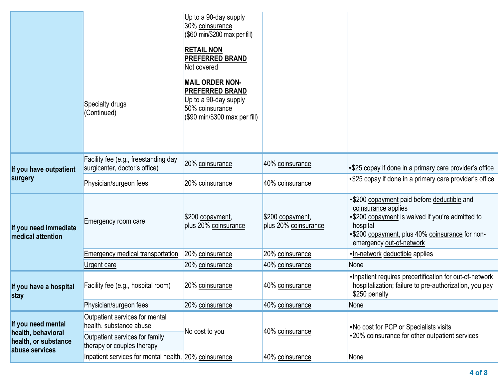|                                            |                                                                       | Up to a 90-day supply<br>30% coinsurance<br>(\$60 min/\$200 max per fill)                                                     |                                          |                                                                                                                                                                                                                   |
|--------------------------------------------|-----------------------------------------------------------------------|-------------------------------------------------------------------------------------------------------------------------------|------------------------------------------|-------------------------------------------------------------------------------------------------------------------------------------------------------------------------------------------------------------------|
|                                            |                                                                       | <b>RETAIL NON</b><br><b>PREFERRED BRAND</b><br>Not covered                                                                    |                                          |                                                                                                                                                                                                                   |
|                                            | Specialty drugs<br>(Continued)                                        | <b>MAIL ORDER NON-</b><br><b>PREFERRED BRAND</b><br>Up to a 90-day supply<br>50% coinsurance<br>(\$90 min/\$300 max per fill) |                                          |                                                                                                                                                                                                                   |
| If you have outpatient                     | Facility fee (e.g., freestanding day<br>surgicenter, doctor's office) | 20% coinsurance                                                                                                               | 40% coinsurance                          | •\$25 copay if done in a primary care provider's office                                                                                                                                                           |
| surgery                                    | Physician/surgeon fees                                                | 20% coinsurance                                                                                                               | 40% coinsurance                          | •\$25 copay if done in a primary care provider's office                                                                                                                                                           |
| If you need immediate<br>medical attention | Emergency room care                                                   | \$200 copayment,<br>plus 20% coinsurance                                                                                      | \$200 copayment,<br>plus 20% coinsurance | •\$200 copayment paid before deductible and<br>coinsurance applies<br>•\$200 copayment is waived if you're admitted to<br>hospital<br>•\$200 copayment, plus 40% coinsurance for non-<br>emergency out-of-network |
|                                            | <b>Emergency medical transportation</b>                               | 20% coinsurance                                                                                                               | 20% coinsurance                          | •In-network deductible applies                                                                                                                                                                                    |
|                                            | Urgent care                                                           | 20% coinsurance                                                                                                               | 40% coinsurance                          | None                                                                                                                                                                                                              |
| If you have a hospital<br>stay             | Facility fee (e.g., hospital room)                                    | 20% coinsurance                                                                                                               | 40% coinsurance                          | . Inpatient requires precertification for out-of-network<br>hospitalization; failure to pre-authorization, you pay<br>\$250 penalty                                                                               |
|                                            | Physician/surgeon fees                                                | 20% coinsurance                                                                                                               | 40% coinsurance                          | None                                                                                                                                                                                                              |
| If you need mental<br>health, behavioral   | Outpatient services for mental<br>health, substance abuse             | No cost to you                                                                                                                | 40% coinsurance                          | . No cost for PCP or Specialists visits                                                                                                                                                                           |
| health, or substance<br>abuse services     | Outpatient services for family<br>therapy or couples therapy          |                                                                                                                               |                                          | •20% coinsurance for other outpatient services                                                                                                                                                                    |
|                                            | Inpatient services for mental health, 20% coinsurance                 |                                                                                                                               | 40% coinsurance                          | None                                                                                                                                                                                                              |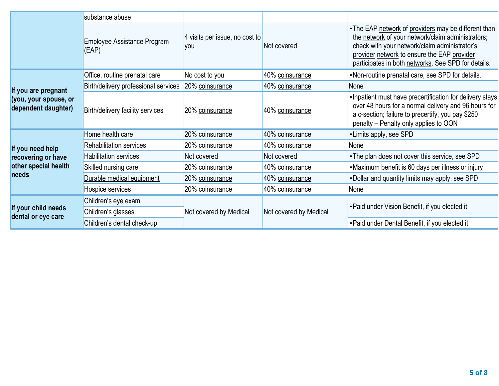|                                                                     | substance abuse                      |                                       |                        |                                                                                                                                                                                                                                                                  |  |
|---------------------------------------------------------------------|--------------------------------------|---------------------------------------|------------------------|------------------------------------------------------------------------------------------------------------------------------------------------------------------------------------------------------------------------------------------------------------------|--|
|                                                                     | Employee Assistance Program<br>(EAP) | 4 visits per issue, no cost to<br>you | Not covered            | • The EAP network of providers may be different than<br>the network of your network/claim administrators;<br>check with your network/claim administrator's<br>provider network to ensure the EAP provider<br>participates in both networks. See SPD for details. |  |
|                                                                     | Office, routine prenatal care        | No cost to you                        | 40% coinsurance        | •Non-routine prenatal care, see SPD for details.                                                                                                                                                                                                                 |  |
|                                                                     | Birth/delivery professional services | 20% coinsurance                       | 40% coinsurance        | <b>None</b>                                                                                                                                                                                                                                                      |  |
| If you are pregnant<br>(you, your spouse, or<br>dependent daughter) | Birth/delivery facility services     | 20% coinsurance                       | 40% coinsurance        | . Inpatient must have precertification for delivery stays<br>over 48 hours for a normal delivery and 96 hours for<br>a c-section; failure to precertify, you pay \$250<br>penalty - Penalty only applies to OON                                                  |  |
| If you need help                                                    | Home health care                     | 20% coinsurance                       | 40% coinsurance        | •Limits apply, see SPD                                                                                                                                                                                                                                           |  |
|                                                                     | <b>Rehabilitation services</b>       | 20% coinsurance                       | 40% coinsurance        | None                                                                                                                                                                                                                                                             |  |
| recovering or have                                                  | <b>Habilitation services</b>         | Not covered                           | Not covered            | • The plan does not cover this service, see SPD                                                                                                                                                                                                                  |  |
| other special health                                                | Skilled nursing care                 | 20% coinsurance                       | 40% coinsurance        | •Maximum benefit is 60 days per illness or injury                                                                                                                                                                                                                |  |
| needs                                                               | Durable medical equipment            | 20% coinsurance                       | 40% coinsurance        | . Dollar and quantity limits may apply, see SPD                                                                                                                                                                                                                  |  |
|                                                                     | Hospice services                     | 20% coinsurance                       | 40% coinsurance        | None                                                                                                                                                                                                                                                             |  |
|                                                                     | Children's eye exam                  |                                       |                        |                                                                                                                                                                                                                                                                  |  |
| If your child needs<br>dental or eye care                           | Children's glasses                   | Not covered by Medical                | Not covered by Medical | • Paid under Vision Benefit, if you elected it                                                                                                                                                                                                                   |  |
|                                                                     | Children's dental check-up           |                                       |                        | • Paid under Dental Benefit, if you elected it                                                                                                                                                                                                                   |  |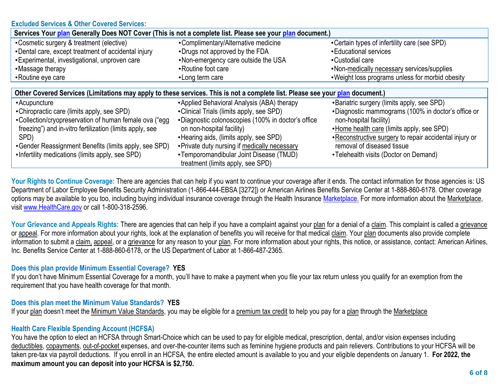### **Excluded Services & Other Covered Services:**

| Services Your plan Generally Does NOT Cover (This is not a complete list. Please see your plan document.)                     |                                                                       |                                                                         |  |  |
|-------------------------------------------------------------------------------------------------------------------------------|-----------------------------------------------------------------------|-------------------------------------------------------------------------|--|--|
| •Cosmetic surgery & treatment (elective)<br>•Dental care, except treatment of accidental injury                               | •Complimentary/Alternative medicine<br>•Drugs not approved by the FDA | • Certain types of infertility care (see SPD)<br>• Educational services |  |  |
| • Experimental, investigational, unproven care                                                                                | •Non-emergency care outside the USA                                   | •Custodial care                                                         |  |  |
| •Massage therapy                                                                                                              | • Routine foot care                                                   | •Non-medically necessary services/supplies                              |  |  |
| •Routine eye care                                                                                                             | •Long term care                                                       | . Weight loss programs unless for morbid obesity                        |  |  |
|                                                                                                                               |                                                                       |                                                                         |  |  |
| Other Covered Services (Limitations may apply to these services. This is not a complete list. Please see your plan document.) |                                                                       |                                                                         |  |  |
| • Acupuncture                                                                                                                 | •Applied Behavioral Analysis (ABA) therapy                            | •Bariatric surgery (limits apply, see SPD)                              |  |  |
| • Chiropractic care (limits apply, see SPD)                                                                                   | •Clinical Trials (limits apply, see SPD)                              | •Diagnostic mammograms (100% in doctor's office or                      |  |  |
| • Collection/cryopreservation of human female ova ("egg                                                                       | •Diagnostic colonoscopies (100% in doctor's office                    | non-hospital facility)                                                  |  |  |
| freezing") and in-vitro fertilization (limits apply, see                                                                      | on non-hospital facility)                                             | •Home health care (limits apply, see SPD)                               |  |  |
| SPD)                                                                                                                          | • Hearing aids, (limits apply, see SPD)                               | . Reconstructive surgery to repair accidental injury or                 |  |  |
| • Gender Reassignment Benefits (limits apply, see SPD)                                                                        | • Private duty nursing if medically necessary                         | removal of diseased tissue                                              |  |  |
| •Infertility medications (limits apply, see SPD)                                                                              | •Temporomandibular Joint Disease (TMJD)                               | •Telehealth visits (Doctor on Demand)                                   |  |  |
|                                                                                                                               | treatment (limits apply, see SPD)                                     |                                                                         |  |  |

Your Rights to Continue Coverage: There are agencies that can help if you want to continue your coverage after it ends. The contact information for those agencies is: US Department of Labor Employee Benefits Security Administration (1-866-444-EBSA [3272]) or American Airlines Benefits Service Center at 1-888-860-6178. Other coverage options may be available to you too, including buying individual insurance coverage through the Health Insurance [Marketplace.](https://www.healthcare.gov/marketplace-in-your-state/) For more information about the Marketplace, visit [www.HealthCare.gov](http://www.healthcare.gov/) or call 1-800-318-2596.

Your Grievance and Appeals Rights: There are agencies that can help if you have a complaint against your plan for a denial of a claim. This complaint is called a grievance or appeal. For more information about your rights, look at the explanation of benefits you will receive for that medical claim. Your plan documents also provide complete information to submit a claim, appeal, or a grievance for any reason to your plan. For more information about your rights, this notice, or assistance, contact: American Airlines, Inc. Benefits Service Center at 1-888-860-6178, or the US Department of Labor at 1-866-487-2365.

# **Does this plan provide Minimum Essential Coverage? YES**

If you don't have Minimum Essential Coverage for a month, you'll have to make a payment when you file your tax return unless you qualify for an exemption from the requirement that you have health coverage for that month.

# **Does this plan meet the Minimum Value Standards? YES**

If your plan doesn't meet the Minimum Value Standards, you may be eligible for a premium tax credit to help you pay for a plan through the Marketplace

# **Health Care Flexible Spending Account (HCFSA)**

You have the option to elect an HCFSA through Smart-Choice which can be used to pay for eligible medical, prescription, dental, and/or vision expenses including deductibles, copayments, out-of-pocket expenses, and over-the-counter items such as feminine hygiene products and pain relievers. Contributions to your HCFSA will be taken pre-tax via payroll deductions. If you enroll in an HCFSA, the entire elected amount is available to you and your eligible dependents on January 1. **For 2022, the maximum amount you can deposit into your HCFSA is \$2,750.**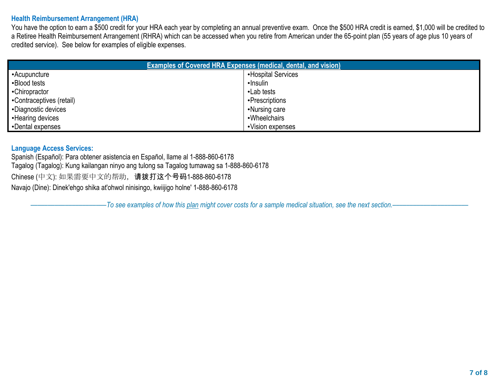### **Health Reimbursement Arrangement (HRA)**

You have the option to earn a \$500 credit for your HRA each year by completing an annual preventive exam. Once the \$500 HRA credit is earned, \$1,000 will be credited to a Retiree Health Reimbursement Arrangement (RHRA) which can be accessed when you retire from American under the 65-point plan (55 years of age plus 10 years of credited service). See below for examples of eligible expenses.

| <b>Examples of Covered HRA Expenses (medical, dental, and vision)</b> |                    |  |  |  |
|-----------------------------------------------------------------------|--------------------|--|--|--|
| •Acupuncture                                                          | •Hospital Services |  |  |  |
| •Blood tests                                                          | •Insulin           |  |  |  |
| •Chiropractor                                                         | •Lab tests         |  |  |  |
| •Contraceptives (retail)                                              | •Prescriptions     |  |  |  |
| •Diagnostic devices                                                   | •Nursing care      |  |  |  |
| • Hearing devices                                                     | •Wheelchairs       |  |  |  |
| •Dental expenses                                                      | •Vision expenses   |  |  |  |

#### **Language Access Services:**

Spanish (Español): Para obtener asistencia en Español, llame al 1-888-860-6178 Tagalog (Tagalog): Kung kailangan ninyo ang tulong sa Tagalog tumawag sa 1-888-860-6178 Chinese (中文): 如果需要中文的帮助,请拨打这个号码1-888-860-6178 Navajo (Dine): Dinek'ehgo shika at'ohwol ninisingo, kwiijigo holne' 1-888-860-6178

––––––––––––––––––––––*To see examples of how this plan might cover costs for a sample medical situation, see the next section.–––––––––––*–––––––––––